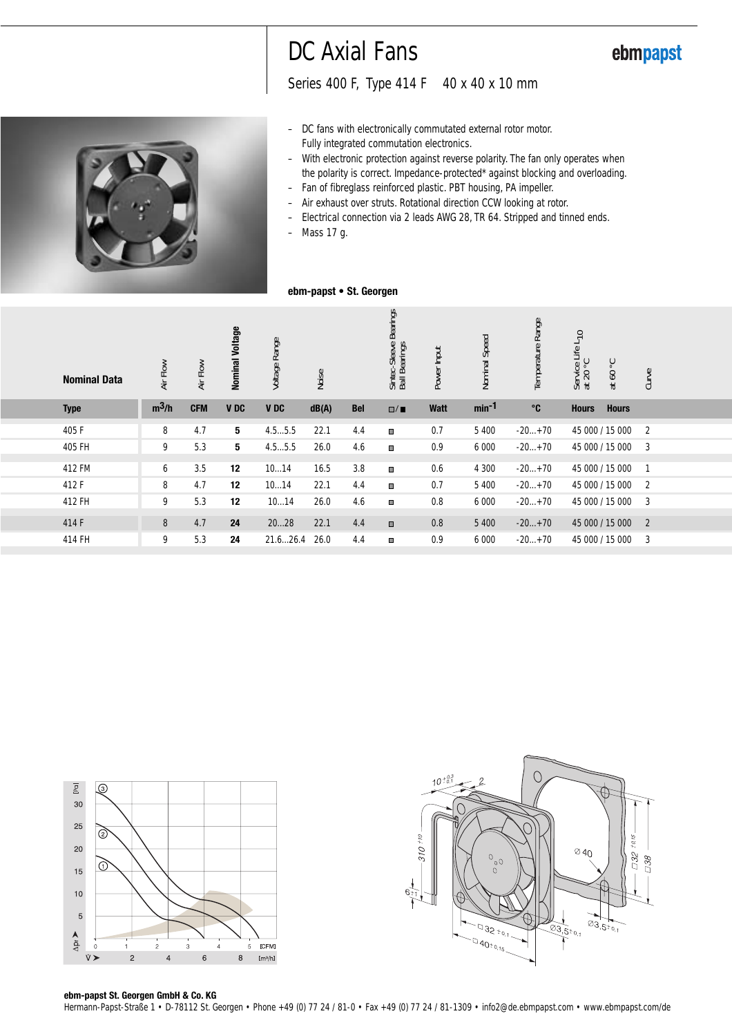# DC Axial Fans

Series 400 F, Type 414 F 40 x 40 x 10 mm

- DC fans with electronically commutated external rotor motor. Fully integrated commutation electronics.
- With electronic protection against reverse polarity. The fan only operates when the polarity is correct. Impedance-protected\* against blocking and overloading.
- Fan of fibreglass reinforced plastic. PBT housing, PA impeller. – Air exhaust over struts. Rotational direction CCW looking at rotor.
- Electrical connection via 2 leads AWG 28, TR 64. Stripped and tinned ends.
- Mass 17 g.

#### **ebm-papst • St. Georgen**

| <b>Nominal Data</b> | Air Flow | Air Flow   | Nominal Voltage | Voltage Range | Noise |            | <b>Bearings</b><br>Sintec-Sleeve E<br>Ball Bearings | Power Input | Nominal Speed | Temperature Range | Service Life L <sub>10</sub><br>at 20 °C | ွ<br>60<br>$\vec{a}$ | Curve          |
|---------------------|----------|------------|-----------------|---------------|-------|------------|-----------------------------------------------------|-------------|---------------|-------------------|------------------------------------------|----------------------|----------------|
| <b>Type</b>         | $m^3/h$  | <b>CFM</b> | <b>VDC</b>      | <b>VDC</b>    | dB(A) | <b>Bel</b> | $\square/\blacksquare$                              | <b>Watt</b> | $min-1$       | $^{\circ}$ C      | <b>Hours</b>                             | <b>Hours</b>         |                |
| 405 F               | 8        | 4.7        | 5               | 4.55.5        | 22.1  | 4.4        | ш                                                   | 0.7         | 5 4 0 0       | $-20+70$          | 45 000 / 15 000                          |                      | $\overline{2}$ |
| 405 FH              | 9        | 5.3        | 5               | 4.55.5        | 26.0  | 4.6        | $\blacksquare$                                      | 0.9         | 6 0 0 0       | $-20+70$          | 45 000 / 15 000                          |                      | 3              |
| 412 FM              | 6        | 3.5        | 12              | 1014          | 16.5  | 3.8        | $\blacksquare$                                      | 0.6         | 4 3 0 0       | $-20+70$          | 45 000 / 15 000                          |                      |                |
| 412 F               | 8        | 4.7        | 12              | 1014          | 22.1  | 4.4        | ш                                                   | 0.7         | 5 4 0 0       | $-20+70$          | 45 000 / 15 000                          |                      | 2              |
| 412 FH              | 9        | 5.3        | 12              | 1014          | 26.0  | 4.6        | $\blacksquare$                                      | 0.8         | 6 0 0 0       | $-20+70$          |                                          | 45 000 / 15 000      | 3              |
| 414 F               | 8        | 4.7        | 24              | 2028          | 22.1  | 4.4        | $\qquad \qquad \Box$                                | 0.8         | 5 4 0 0       | $-20+70$          | 45 000 / 15 000                          |                      | $\overline{2}$ |
| 414 FH              | 9        | 5.3        | 24              | 21.626.4      | 26.0  | 4.4        | $\blacksquare$                                      | 0.9         | 6 0 0 0       | $-20+70$          | 45 000 / 15 000                          |                      | 3              |
|                     |          |            |                 |               |       |            |                                                     |             |               |                   |                                          |                      |                |





### **ebm-papst St. Georgen GmbH & Co. KG**

Hermann-Papst-Straße 1 • D-78112 St. Georgen • Phone +49 (0) 77 24 / 81-0 • Fax +49 (0) 77 24 / 81-1309 • info2@de.ebmpapst.com • www.ebmpapst.com/de



### ebmpapst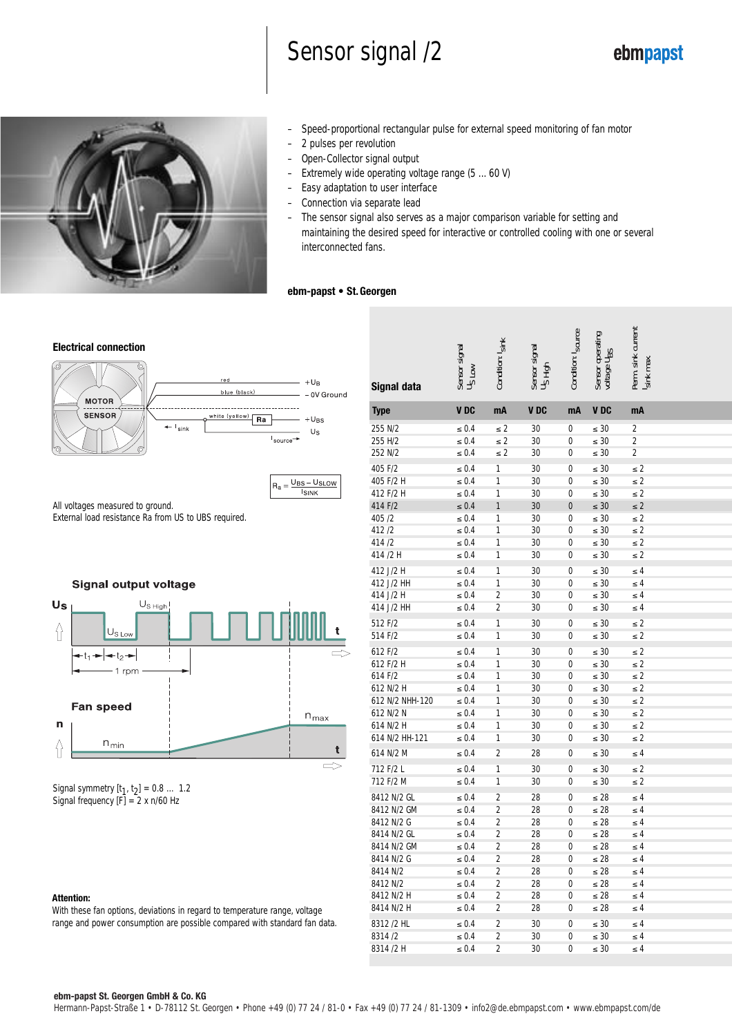# Sensor signal /2

 $\overline{5}$ 



- Speed-proportional rectangular pulse for external speed monitoring of fan motor
- 2 pulses per revolution
- Open-Collector signal output
- Extremely wide operating voltage range (5 ... 60 V)
- Easy adaptation to user interface
- Connection via separate lead
- The sensor signal also serves as a major comparison variable for setting and maintaining the desired speed for interactive or controlled cooling with one or several interconnected fans.

#### **ebm-papst • St. Georgen**



 $=$   $UBS - USLOW$ </u> **ISINK** 

All voltages measured to ground. External load resistance Ra from US to UBS required.

#### **Signal output voltage**



Signal symmetry  $[t_1, t_2] = 0.8 ... 1.2$ Signal frequency  $[F] = 2 \times n/60$  Hz

#### **Attention:**

With these fan options, deviations in regard to temperature range, voltage range and power consumption are possible compared with standard fan data.

| Signal data              | Sensor signal<br><b>NOT</b><br>usu | kink<br>Condition:               | Sensor signal<br>Us High<br>1igh | Condition: I <sub>source</sub> | Sensor operating<br>voltage U <sub>BS</sub> | Perm. sink current<br>max<br><b>Isink</b> |
|--------------------------|------------------------------------|----------------------------------|----------------------------------|--------------------------------|---------------------------------------------|-------------------------------------------|
| <b>Type</b>              | VDC                                | mA                               | V DC                             | mA                             | V DC                                        | mA                                        |
| 255 N/2                  | $\leq 0.4$                         | $\leq$ 2                         | 30                               | 0                              | $\leq 30$                                   | 2                                         |
| 255 H/2                  | $\leq 0.4$                         | $\leq$ 2                         | 30                               | 0                              | $\leq 30$                                   | $\overline{2}$                            |
| 252 N/2                  | $\leq 0.4$                         | $\leq 2$                         | 30                               | 0                              | $\leq 30$                                   | 2                                         |
| 405 F/2                  | $\leq 0.4$                         | 1                                | 30                               | 0                              | $\leq 30$                                   | $\leq 2$                                  |
| 405 F/2 H                | $\leq 0.4$                         | 1                                | 30                               | 0                              | $\leq 30$                                   | $\leq 2$                                  |
| 412 F/2 H                | $\leq 0.4$                         | 1                                | 30                               | 0                              | $\leq 30$                                   | $\leq 2$                                  |
| 414 F/2                  | $\leq 0.4$                         | 1                                | 30                               | 0                              | $\leq 30$                                   | $\leq 2$                                  |
| 405/2                    | $\leq 0.4$                         | 1                                | 30                               | 0                              | $\leq 30$                                   | $\leq 2$                                  |
| 412/2                    | $\leq 0.4$                         | 1                                | 30                               | 0                              | $\leq 30$                                   | $\leq 2$                                  |
| 414/2                    | $\leq 0.4$                         | 1                                | 30                               | 0                              | $\leq 30$                                   | $\leq 2$                                  |
| 414 /2 H                 | $\leq 0.4$                         | 1                                | 30                               | 0                              | $\leq 30$                                   | ≤ 2                                       |
| 412 J/2 H                | $\leq 0.4$                         | 1                                | 30                               | 0                              | $\leq 30$                                   | $\leq 4$                                  |
| 412 J/2 HH               | $\leq 0.4$                         | 1                                | 30                               | 0                              | $\leq 30$                                   | $\leq 4$                                  |
| 414 J/2 H                | $\leq 0.4$                         | 2                                | 30                               | 0                              | $\leq 30$                                   | $\leq 4$                                  |
| 414 J/2 HH               | $\leq 0.4$                         | $\overline{2}$                   | 30                               | 0                              | $\leq 30$                                   | $\leq 4$                                  |
| 512 F/2                  | $\leq 0.4$                         | 1                                | 30                               | 0                              | $\leq 30$                                   | $\leq 2$                                  |
| 514 F/2                  | $\leq 0.4$                         | 1                                | 30                               | 0                              | $\leq 30$                                   | $\leq 2$                                  |
| 612 F/2                  | $\leq 0.4$                         | 1                                | 30                               | 0                              | $\leq 30$                                   | $\leq 2$                                  |
| 612 F/2 H                | $\leq 0.4$                         | 1                                | 30                               | 0                              | $\leq 30$                                   | $\leq 2$                                  |
| 614 F/2                  | $\leq 0.4$                         | 1                                | 30                               | 0                              | $\leq 30$                                   | $\leq 2$                                  |
| 612 N/2 H                | $\leq 0.4$                         | 1                                | 30                               | 0                              | $\leq 30$                                   | $\leq 2$                                  |
| 612 N/2 NHH-120          | $\leq 0.4$                         | 1                                | 30                               | 0                              | $\leq 30$                                   | $\leq 2$                                  |
| 612 N/2 N                | $\leq 0.4$                         | 1                                | 30                               | 0                              | $\leq 30$                                   | $\leq 2$                                  |
| 614 N/2 H                | $\leq 0.4$                         | 1                                | 30                               | 0                              | $\leq 30$                                   | $\leq 2$                                  |
| 614 N/2 HH-121           | $\leq 0.4$                         | 1                                | 30                               | 0                              | $\leq 30$                                   | ≤ 2                                       |
| 614 N/2 M                | $\leq 0.4$                         | $\overline{2}$                   | 28                               | 0                              | $\leq 30$                                   | ≤ 4                                       |
|                          |                                    |                                  |                                  |                                |                                             |                                           |
| 712 F/2 L                | $\leq 0.4$                         | 1                                | 30                               | 0                              | $\leq 30$                                   | $\leq 2$                                  |
| 712 F/2 M                | $\leq 0.4$                         | 1                                | 30                               | 0                              | $\leq 30$                                   | $\leq 2$                                  |
| 8412 N/2 GL              | $\leq 0.4$                         | $\overline{2}$                   | 28                               | 0                              | $\leq 28$                                   | $\leq 4$                                  |
| 8412 N/2 GM              | $\leq 0.4$                         | $\overline{2}$                   | 28                               | 0                              | $\leq 28$                                   | $\leq 4$                                  |
| 8412 N/2 G               | $\leq 0.4$                         | $\overline{2}$                   | 28                               | 0                              | $\leq 28$                                   | $\leq 4$                                  |
| 8414 N/2 GL              | $\leq 0.4$                         | 2                                | 28                               | 0                              | $\leq 28$                                   | $\leq 4$                                  |
| 8414 N/2 GM              | $\leq 0.4$                         | 2                                | 28                               | 0                              | $\leq 28$                                   | ≤ 4                                       |
| 8414 N/2 G               | $\leq 0.4$                         | 2                                | 28                               | 0                              | $\leq 28$                                   | $\leq 4$                                  |
| 8414 N/2                 | $\leq 0.4$                         | $\overline{2}$                   | 28                               | 0                              | $\leq 28$                                   | $\leq 4$                                  |
| 8412 N/2                 | $\leq 0.4$                         | $\overline{2}$                   | 28                               | 0                              | $\leq 28$                                   | $\leq 4$                                  |
| 8412 N/2 H<br>8414 N/2 H | $\leq 0.4$                         | $\overline{2}$<br>$\overline{2}$ | 28                               | 0<br>0                         | $\leq 28$                                   | ≤ 4<br>≤ 4                                |
|                          | $\leq 0.4$                         |                                  | 28                               |                                | $\leq 28$                                   |                                           |
| 8312 /2 HL               | $\leq 0.4$                         | 2                                | 30                               | 0                              | $\leq 30$                                   | $\leq 4$                                  |
| 8314 /2                  | $\leq 0.4$                         | 2                                | 30                               | 0                              | $\leq 30$                                   | $\leq 4$                                  |
| 8314 /2 H                | $\leq 0.4$                         | $\overline{2}$                   | 30                               | 0                              | $\leq 30$                                   | $\leq 4$                                  |

#### **ebm-papst St. Georgen GmbH & Co. KG**

Hermann-Papst-Straße 1 • D-78112 St. Georgen • Phone +49 (0) 77 24 / 81-0 • Fax +49 (0) 77 24 / 81-1309 • info2@de.ebmpapst.com • www.ebmpapst.com/de